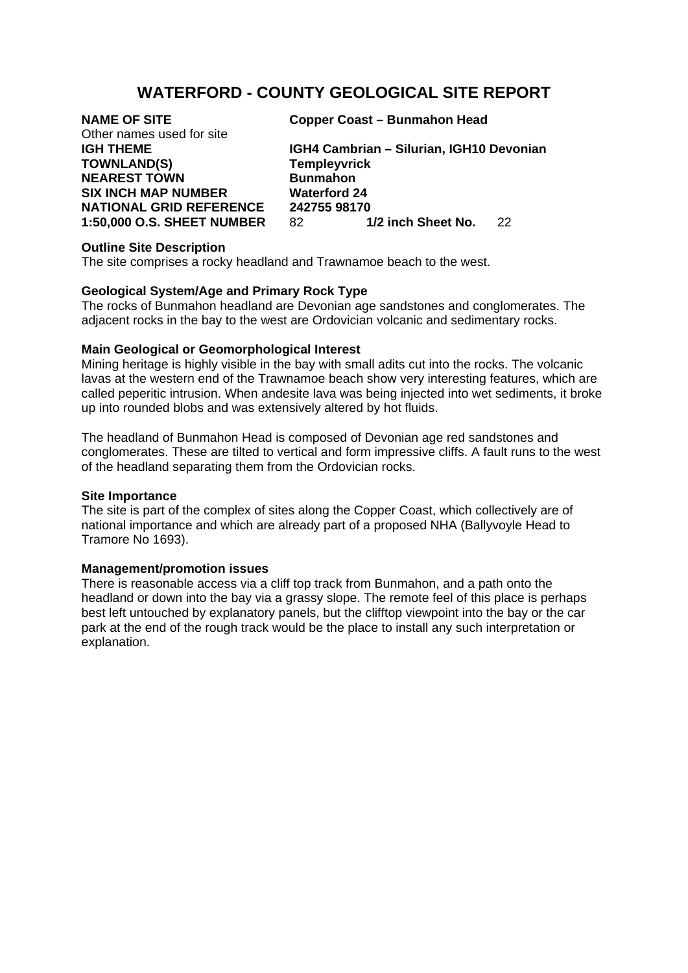# **WATERFORD - COUNTY GEOLOGICAL SITE REPORT**

# Other names used for site **TOWNLAND(S) Templeyvrick NEAREST TOWN Bunmahon SIX INCH MAP NUMBER Waterford 24**

**NAME OF SITE Copper Coast – Bunmahon Head** 

**IGH THEME IGH4 Cambrian – Silurian, IGH10 Devonian NATIONAL GRID REFERENCE 242755 98170**<br>1:50,000 O.S. SHEET NUMBER 82 1/2 inch Sheet No. **1:50,000 O.S. SHEET NUMBER** 82 **1/2 inch Sheet No.** 22

## **Outline Site Description**

The site comprises a rocky headland and Trawnamoe beach to the west.

#### **Geological System/Age and Primary Rock Type**

The rocks of Bunmahon headland are Devonian age sandstones and conglomerates. The adjacent rocks in the bay to the west are Ordovician volcanic and sedimentary rocks.

#### **Main Geological or Geomorphological Interest**

Mining heritage is highly visible in the bay with small adits cut into the rocks. The volcanic lavas at the western end of the Trawnamoe beach show very interesting features, which are called peperitic intrusion. When andesite lava was being injected into wet sediments, it broke up into rounded blobs and was extensively altered by hot fluids.

The headland of Bunmahon Head is composed of Devonian age red sandstones and conglomerates. These are tilted to vertical and form impressive cliffs. A fault runs to the west of the headland separating them from the Ordovician rocks.

#### **Site Importance**

The site is part of the complex of sites along the Copper Coast, which collectively are of national importance and which are already part of a proposed NHA (Ballyvoyle Head to Tramore No 1693).

### **Management/promotion issues**

There is reasonable access via a cliff top track from Bunmahon, and a path onto the headland or down into the bay via a grassy slope. The remote feel of this place is perhaps best left untouched by explanatory panels, but the clifftop viewpoint into the bay or the car park at the end of the rough track would be the place to install any such interpretation or explanation.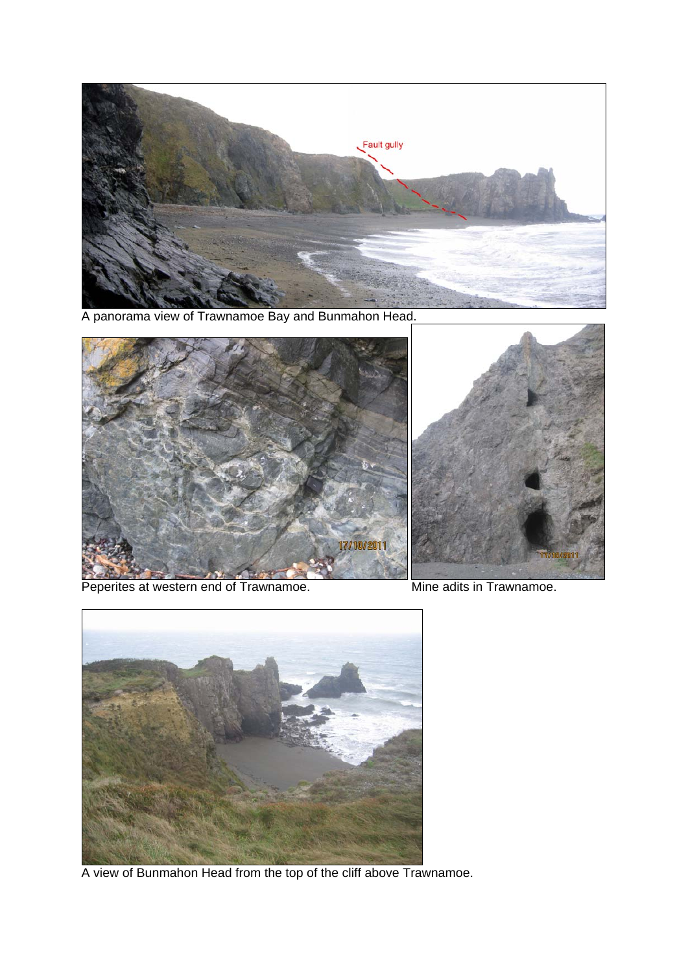

A panorama view of Trawnamoe Bay and Bunmahon Head.





Peperites at western end of Trawnamoe. Mine adits in Trawnamoe.



A view of Bunmahon Head from the top of the cliff above Trawnamoe.